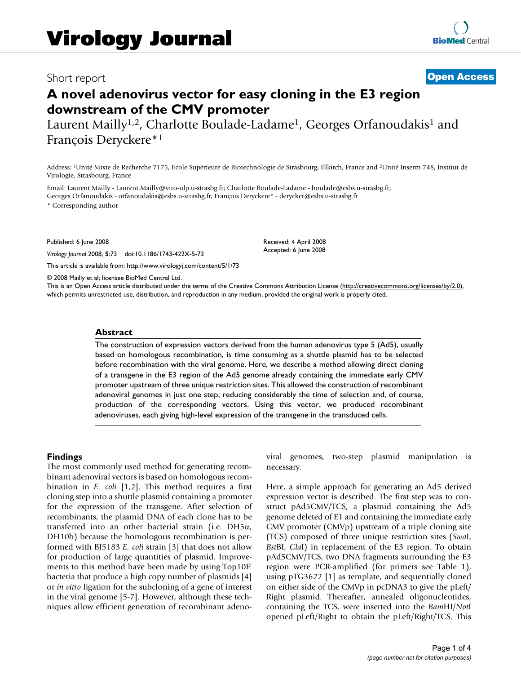## Short report **[Open Access](http://www.biomedcentral.com/info/about/charter/)**

# **A novel adenovirus vector for easy cloning in the E3 region downstream of the CMV promoter**

Laurent Mailly<sup>1,2</sup>, Charlotte Boulade-Ladame<sup>1</sup>, Georges Orfanoudakis<sup>1</sup> and François Deryckere\*1

Address: 1Unité Mixte de Recherche 7175, Ecole Supérieure de Biotechnologie de Strasbourg, Illkirch, France and 2Unité Inserm 748, Institut de Virologie, Strasbourg, France

Email: Laurent Mailly - Laurent.Mailly@viro-ulp.u-strasbg.fr; Charlotte Boulade-Ladame - boulade@esbs.u-strasbg.fr; Georges Orfanoudakis - orfanoudakis@esbs.u-strasbg.fr; François Deryckere\* - derycker@esbs.u-strasbg.fr \* Corresponding author

Published: 6 June 2008

*Virology Journal* 2008, **5**:73 doi:10.1186/1743-422X-5-73

[This article is available from: http://www.virologyj.com/content/5/1/73](http://www.virologyj.com/content/5/1/73)

© 2008 Mailly et al; licensee BioMed Central Ltd.

This is an Open Access article distributed under the terms of the Creative Commons Attribution License [\(http://creativecommons.org/licenses/by/2.0\)](http://creativecommons.org/licenses/by/2.0), which permits unrestricted use, distribution, and reproduction in any medium, provided the original work is properly cited.

Received: 4 April 2008 Accepted: 6 June 2008

#### **Abstract**

The construction of expression vectors derived from the human adenovirus type 5 (Ad5), usually based on homologous recombination, is time consuming as a shuttle plasmid has to be selected before recombination with the viral genome. Here, we describe a method allowing direct cloning of a transgene in the E3 region of the Ad5 genome already containing the immediate early CMV promoter upstream of three unique restriction sites. This allowed the construction of recombinant adenoviral genomes in just one step, reducing considerably the time of selection and, of course, production of the corresponding vectors. Using this vector, we produced recombinant adenoviruses, each giving high-level expression of the transgene in the transduced cells.

#### **Findings**

The most commonly used method for generating recombinant adenoviral vectors is based on homologous recombination in *E. coli* [1,2]. This method requires a first cloning step into a shuttle plasmid containing a promoter for the expression of the transgene. After selection of recombinants, the plasmid DNA of each clone has to be transferred into an other bacterial strain (i.e. DH5α, DH10b) because the homologous recombination is performed with BJ5183 *E. coli* strain [3] that does not allow for production of large quantities of plasmid. Improvements to this method have been made by using Top10F' bacteria that produce a high copy number of plasmids [4] or *in vitro* ligation for the subcloning of a gene of interest in the viral genome [5-7]. However, although these techniques allow efficient generation of recombinant adenoviral genomes, two-step plasmid manipulation is necessary.

Here, a simple approach for generating an Ad5 derived expression vector is described. The first step was to construct pAd5CMV/TCS, a plasmid containing the Ad5 genome deleted of E1 and containing the immediate early CMV promoter (CMVp) upstream of a triple cloning site (TCS) composed of three unique restriction sites (*Swa*I, *Bst*BI, *Cla*I) in replacement of the E3 region. To obtain pAd5CMV/TCS, two DNA fragments surrounding the E3 region were PCR-amplified (for primers see Table 1), using pTG3622 [1] as template, and sequentially cloned on either side of the CMVp in pcDNA3 to give the pLeft/ Right plasmid. Thereafter, annealed oligonucleotides, containing the TCS, were inserted into the *Bam*HI/*Not*I opened pLeft/Right to obtain the pLeft/Right/TCS. This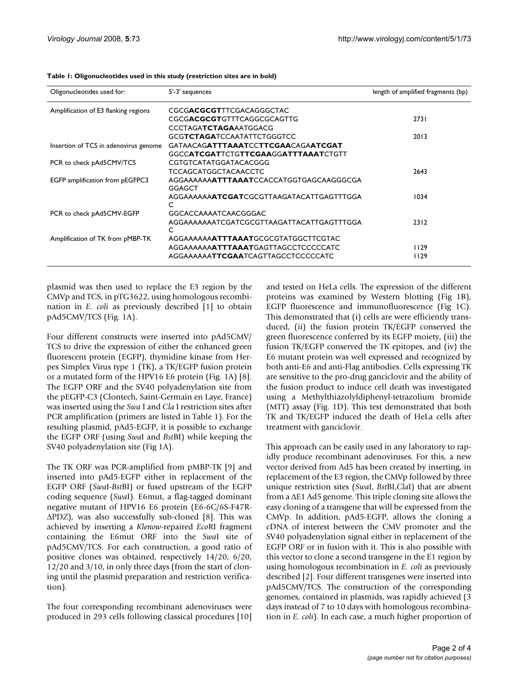| Oligonucleotides used for:            | 5'-3' sequences                                           | length of amplified fragments (bp) |
|---------------------------------------|-----------------------------------------------------------|------------------------------------|
| Amplification of E3 flanking regions  | CGCGACGCGTTTCGACAGGGCTAC                                  |                                    |
|                                       | CGCGACGCGTGTTTCAGGCGCAGTTG                                | 2731                               |
|                                       | <b>CCCTAGATCTAGAAATGGACG</b>                              |                                    |
|                                       | GCGTCTAGATCCAATATTCTGGGTCC                                | 2013                               |
| Insertion of TCS in adenovirus genome | GATAACAGATTTAAATCCTTCGAACAGAATCGAT                        |                                    |
|                                       | <b>GGCCATCGATTCTGTTCGAAGGATTTAAATCTGTT</b>                |                                    |
| PCR to check pAd5CMV/TCS              | CGTGTCATATGGATACACGGG                                     |                                    |
|                                       | <b>TCCAGCATGGCTACAACCTC</b>                               | 2643                               |
| EGFP amplification from pEGFPC3       | AGGAAAAAAAATTTAAATCCACCATGGTGAGCAAGGGCGA<br><b>GGAGCT</b> |                                    |
|                                       | AGGAAAAAAA <b>ATCGAT</b> CGCGTTAAGATACATTGAGTTTGGA<br>C   | 1034                               |
| PCR to check pAd5CMV-EGFP             | GGCACCAAAATCAACGGGAC                                      |                                    |
|                                       | AGGAAAAAAATCGATCGCGTTAAGATTACATTGAGTTTGGA<br>C            | 2312                               |
| Amplification of TK from pMBP-TK      | AGGAAAAAAATTTAAATGCGCGTATGGCTTCGTAC                       |                                    |
|                                       | AGGAAAAAAAATTTAAATGAGTTAGCCTCCCCCATC                      | 1129                               |
|                                       | AGGAAAAAATTCGAATCAGTTAGCCTCCCCCATC                        | 1129                               |

**Table 1: Oligonucleotides used in this study (restriction sites are in bold)**

plasmid was then used to replace the E3 region by the CMVp and TCS, in pTG3622, using homologous recombination in *E. coli* as previously described [1] to obtain pAd5CMV/TCS (Fig. 1A).

Four different constructs were inserted into pAd5CMV/ TCS to drive the expression of either the enhanced green fluorescent protein (EGFP), thymidine kinase from Herpes Simplex Virus type 1 (TK), a TK/EGFP fusion protein or a mutated form of the HPV16 E6 protein (Fig. 1A) [8]. The EGFP ORF and the SV40 polyadenylation site from the pEGFP-C3 (Clontech, Saint-Germain en Laye, France) was inserted using the *Swa* I and *Cla* I restriction sites after PCR amplification (primers are listed in Table 1). For the resulting plasmid, pAd5-EGFP, it is possible to exchange the EGFP ORF (using *Swa*I and *Bst*BI) while keeping the SV40 polyadenylation site (Fig 1A).

The TK ORF was PCR-amplified from pMBP-TK [9] and inserted into pAd5-EGFP either in replacement of the EGFP ORF (*Swa*I-*Bst*BI) or fused upstream of the EGFP coding sequence (*Swa*I). E6mut, a flag-tagged dominant negative mutant of HPV16 E6 protein (E6-6C/6S-F47R-ΔPDZ), was also successfully sub-cloned [8]. This was achieved by inserting a *Klenow*-repaired *Eco*RI fragment containing the E6mut ORF into the *Swa*I site of pAd5CMV/TCS. For each construction, a good ratio of positive clones was obtained, respectively 14/20, 6/20, 12/20 and 3/10, in only three days (from the start of cloning until the plasmid preparation and restriction verification).

The four corresponding recombinant adenoviruses were produced in 293 cells following classical procedures [10]

and tested on HeLa cells. The expression of the different proteins was examined by Western blotting (Fig 1B), EGFP fluorescence and immunofluorescence (Fig 1C). This demonstrated that (i) cells are were efficiently transduced, (ii) the fusion protein TK/EGFP conserved the green fluorescence conferred by its EGFP moiety, (iii) the fusion TK/EGFP conserved the TK epitopes, and (iv) the E6 mutant protein was well expressed and recognized by both anti-E6 and anti-Flag antibodies. Cells expressing TK are sensitive to the pro-drug ganciclovir and the ability of the fusion product to induce cell death was investigated using a Methylthiazolyldiphenyl-tetrazolium bromide (MTT) assay (Fig. 1D). This test demonstrated that both TK and TK/EGFP induced the death of HeLa cells after treatment with ganciclovir.

This approach can be easily used in any laboratory to rapidly produce recombinant adenoviruses. For this, a new vector derived from Ad5 has been created by inserting, in replacement of the E3 region, the CMVp followed by three unique restriction sites (*Swa*I, *Bst*BI,*Cla*I) that are absent from a ΔE1 Ad5 genome. This triple cloning site allows the easy cloning of a transgene that will be expressed from the CMVp. In addition, pAd5-EGFP, allows the cloning a cDNA of interest between the CMV promoter and the SV40 polyadenylation signal either in replacement of the EGFP ORF or in fusion with it. This is also possible with this vector to clone a second transgene in the E1 region by using homologous recombination in *E. coli* as previously described [2]. Four different transgenes were inserted into pAd5CMV/TCS. The construction of the corresponding genomes, contained in plasmids, was rapidly achieved (3 days instead of 7 to 10 days with homologous recombination in *E. coli*). In each case, a much higher proportion of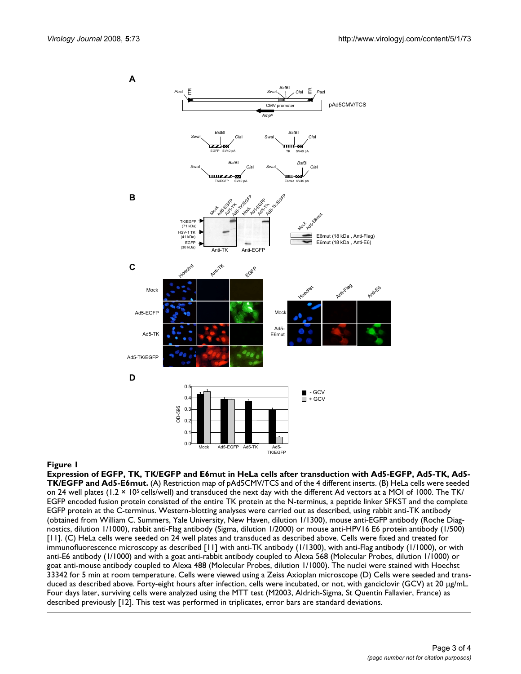**A**



### Ad5-E6mut **Figure 1** Expression of EGFP, TK, TK/EGFP and E6mut in HeLa cells after transduction with Ad5-EGFP, Ad5-TK, Ad5-TK/EGFP and

**Expression of EGFP, TK, TK/EGFP and E6mut in HeLa cells after transduction with Ad5-EGFP, Ad5-TK, Ad5- TK/EGFP and Ad5-E6mut.** (A) Restriction map of pAd5CMV/TCS and of the 4 different inserts. (B) HeLa cells were seeded on 24 well plates  $(1.2 \times 10^5 \text{ cells/well})$  and transduced the next day with the different Ad vectors at a MOI of 1000. The TK/ EGFP encoded fusion protein consisted of the entire TK protein at the N-terminus, a peptide linker SFKST and the complete EGFP protein at the C-terminus. Western-blotting analyses were carried out as described, using rabbit anti-TK antibody (obtained from William C. Summers, Yale University, New Haven, dilution 1/1300), mouse anti-EGFP antibody (Roche Diagnostics, dilution 1/1000), rabbit anti-Flag antibody (Sigma, dilution 1/2000) or mouse anti-HPV16 E6 protein antibody (1/500) [11]. (C) HeLa cells were seeded on 24 well plates and transduced as described above. Cells were fixed and treated for immunofluorescence microscopy as described [11] with anti-TK antibody (1/1300), with anti-Flag antibody (1/1000), or with anti-E6 antibody (1/1000) and with a goat anti-rabbit antibody coupled to Alexa 568 (Molecular Probes, dilution 1/1000) or goat anti-mouse antibody coupled to Alexa 488 (Molecular Probes, dilution 1/1000). The nuclei were stained with Hoechst 33342 for 5 min at room temperature. Cells were viewed using a Zeiss Axioplan microscope (D) Cells were seeded and transduced as described above. Forty-eight hours after infection, cells were incubated, or not, with ganciclovir (GCV) at 20 μg/mL. Four days later, surviving cells were analyzed using the MTT test (M2003, Aldrich-Sigma, St Quentin Fallavier, France) as described previously [12]. This test was performed in triplicates, error bars are standard deviations.